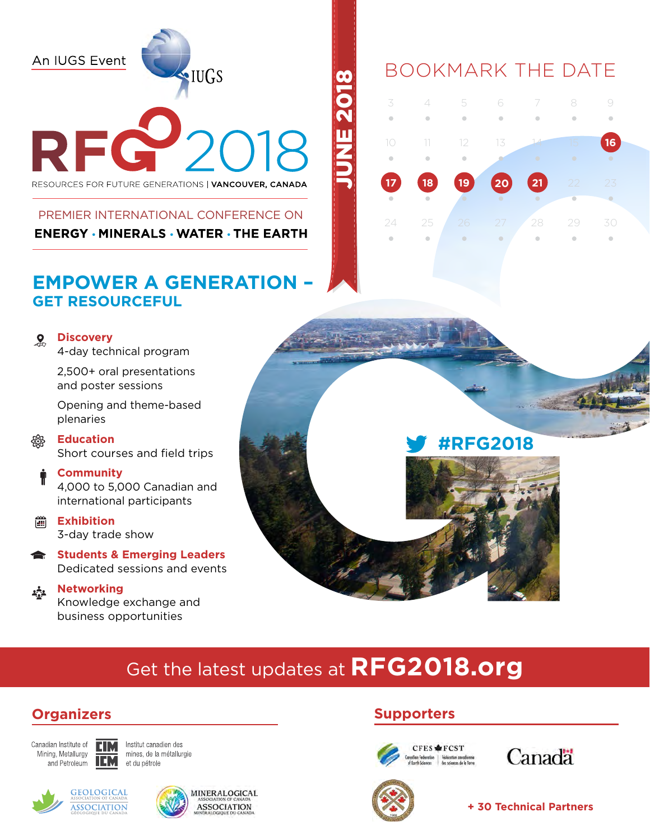An IUGS Event

# RF

·IUGS

RESOURCES FOR FUTURE GENERATIONS | VANCOUVER, CANADA

# PREMIER INTERNATIONAL CONFERENCE ON **ENERGY · MINERALS · WATER · THE EARTH**

# **EMPOWER A GENERATION – GET RESOURCEFUL**

### **Discovery**  $\mathbf{Q}$

4-day technical program

2,500+ oral presentations and poster sessions

Opening and theme-based plenaries

### **Education** ₩ Short courses and field trips

### **Community**

4,000 to 5,000 Canadian and international participants

- **Exhibition** 3-day trade show
- **Students & Emerging Leaders** Dedicated sessions and events

### **Networking** 森

Knowledge exchange and business opportunities

# **#RFG2018**

Get the latest updates at **RFG2018.org**

June 2018

# **Organizers Supporters**

Canadian Institute of Mining, Metallurgy and Petroleum

Institut canadien des mines, de la métallurgie et du pétrole



**EIM** 

**IEM** 





Canadä



**+ 30 Technical Partners**

# BOOKMARK THE DATE